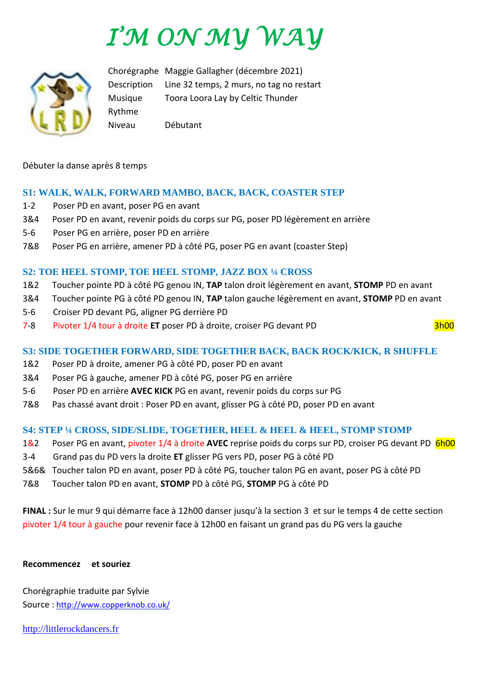# *I'M ON MY WAY*



Chorégraphe Maggie Gallagher (décembre 2021) Description Line 32 temps, 2 murs, no tag no restart Musique Toora Loora Lay by Celtic Thunder Rythme Niveau Débutant

Débuter la danse après 8 temps

#### **S1: WALK, WALK, FORWARD MAMBO, BACK, BACK, COASTER STEP**

- 1-2 Poser PD en avant, poser PG en avant
- 3&4 Poser PD en avant, revenir poids du corps sur PG, poser PD légèrement en arrière
- 5-6 Poser PG en arrière, poser PD en arrière
- 7&8 Poser PG en arrière, amener PD à côté PG, poser PG en avant (coaster Step)

#### **S2: TOE HEEL STOMP, TOE HEEL STOMP, JAZZ BOX ¼ CROSS**

- 1&2 Toucher pointe PD à côté PG genou IN, **TAP** talon droit légèrement en avant, **STOMP** PD en avant
- 3&4 Toucher pointe PG à côté PD genou IN, **TAP** talon gauche légèrement en avant, **STOMP** PD en avant
- 5-6 Croiser PD devant PG, aligner PG derrière PD
- 7-8 Pivoter 1/4 tour à droite **ET** poser PD à droite, croiser PG devant PD 3h00

#### **S3: SIDE TOGETHER FORWARD, SIDE TOGETHER BACK, BACK ROCK/KICK, R SHUFFLE**

- 1&2 Poser PD à droite, amener PG à côté PD, poser PD en avant
- 3&4 Poser PG à gauche, amener PD à côté PG, poser PG en arrière
- 5-6 Poser PD en arrière **AVEC KICK** PG en avant, revenir poids du corps sur PG
- 7&8 Pas chassé avant droit : Poser PD en avant, glisser PG à côté PD, poser PD en avant

#### **S4: STEP ¼ CROSS, SIDE/SLIDE, TOGETHER, HEEL & HEEL & HEEL, STOMP STOMP**

- 1&2 Poser PG en avant, pivoter 1/4 à droite **AVEC** reprise poids du corps sur PD, croiser PG devant PD 6h00
- 3-4 Grand pas du PD vers la droite **ET** glisser PG vers PD, poser PG à côté PD
- 5&6& Toucher talon PD en avant, poser PD à côté PG, toucher talon PG en avant, poser PG à côté PD
- 7&8 Toucher talon PD en avant, **STOMP** PD à côté PG, **STOMP** PG à côté PD

**FINAL :** Sur le mur 9 qui démarre face à 12h00 danser jusqu'à la section 3 et sur le temps 4 de cette section pivoter 1/4 tour à gauche pour revenir face à 12h00 en faisant un grand pas du PG vers la gauche

#### **Recommencez et souriez**

Chorégraphie traduite par Sylvie Source : [http://www.copperknob.co.uk/](https://www.copperknob.co.uk/) 

[http://littlerockdancers.fr](http://littlerockdancers.fr/)